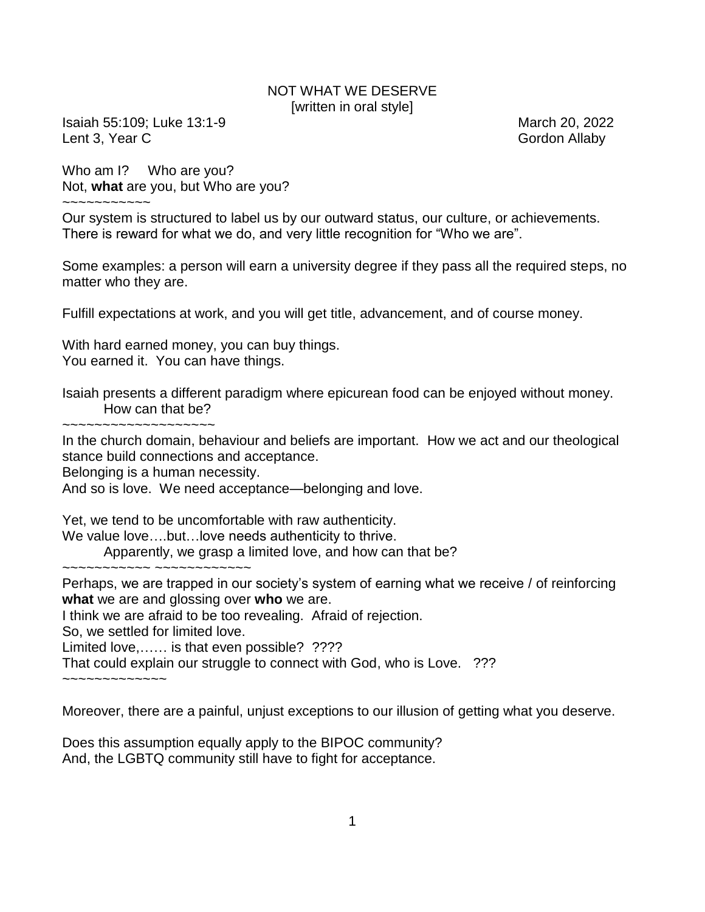## NOT WHAT WE DESERVE [written in oral style]

Isaiah 55:109; Luke 13:1-9 March 20, 2022 Lent 3, Year C Gordon Allaby and Contact Contact Contact Contact Contact Contact Contact Contact Contact Contact Contact Contact Contact Contact Contact Contact Contact Contact Contact Contact Contact Contact Contact Conta

Who am I? Who are you? Not, **what** are you, but Who are you?

 $\sim$   $\sim$   $\sim$   $\sim$   $\sim$   $\sim$   $\sim$   $\sim$ 

Our system is structured to label us by our outward status, our culture, or achievements. There is reward for what we do, and very little recognition for "Who we are".

Some examples: a person will earn a university degree if they pass all the required steps, no matter who they are.

Fulfill expectations at work, and you will get title, advancement, and of course money.

With hard earned money, you can buy things. You earned it. You can have things.

Isaiah presents a different paradigm where epicurean food can be enjoyed without money. How can that be?

~~~~~~~~~~~~~~~~~~~

In the church domain, behaviour and beliefs are important. How we act and our theological stance build connections and acceptance.

Belonging is a human necessity.

And so is love. We need acceptance—belonging and love.

Yet, we tend to be uncomfortable with raw authenticity.

We value love….but…love needs authenticity to thrive.

Apparently, we grasp a limited love, and how can that be? ~~~~~~~~~~ ~~~~~~~~~~~~~

Perhaps, we are trapped in our society's system of earning what we receive / of reinforcing **what** we are and glossing over **who** we are.

I think we are afraid to be too revealing. Afraid of rejection.

So, we settled for limited love.

Limited love,...... is that even possible? ????

That could explain our struggle to connect with God, who is Love. ???

~~~~~~~~~~~~~

Moreover, there are a painful, unjust exceptions to our illusion of getting what you deserve.

Does this assumption equally apply to the BIPOC community? And, the LGBTQ community still have to fight for acceptance.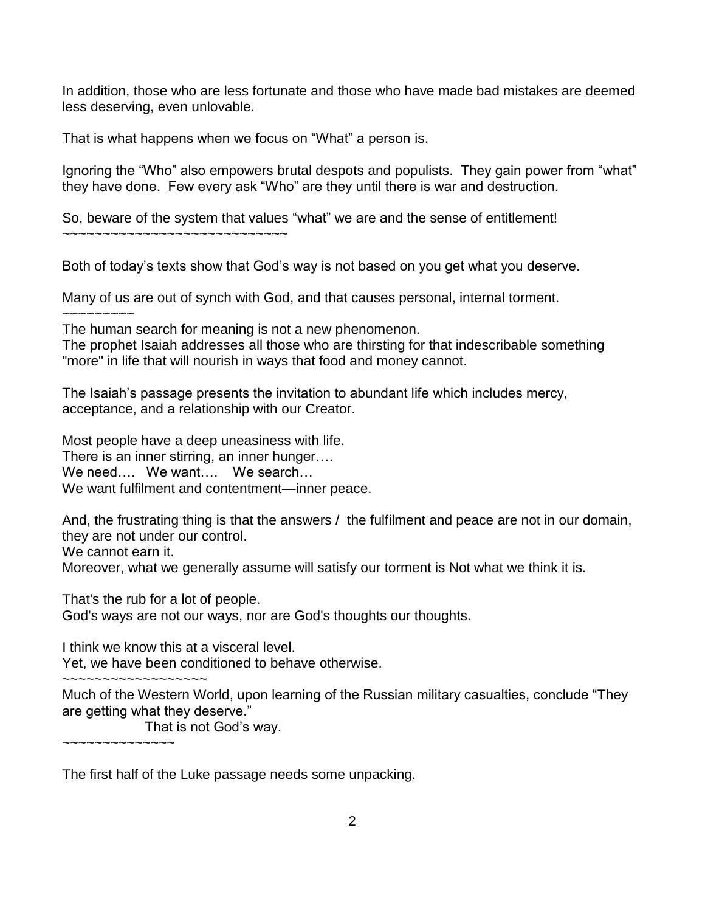In addition, those who are less fortunate and those who have made bad mistakes are deemed less deserving, even unlovable.

That is what happens when we focus on "What" a person is.

Ignoring the "Who" also empowers brutal despots and populists. They gain power from "what" they have done. Few every ask "Who" are they until there is war and destruction.

So, beware of the system that values "what" we are and the sense of entitlement!

~~~~~~~~~~~~~~~~~~~~~~~~~~~~

Both of today's texts show that God's way is not based on you get what you deserve.

Many of us are out of synch with God, and that causes personal, internal torment.  $\sim\sim\sim\sim\sim\sim\sim\sim$ 

The human search for meaning is not a new phenomenon.

The prophet Isaiah addresses all those who are thirsting for that indescribable something "more" in life that will nourish in ways that food and money cannot.

The Isaiah's passage presents the invitation to abundant life which includes mercy, acceptance, and a relationship with our Creator.

Most people have a deep uneasiness with life. There is an inner stirring, an inner hunger…. We need.... We want.... We search... We want fulfilment and contentment—inner peace.

And, the frustrating thing is that the answers / the fulfilment and peace are not in our domain, they are not under our control.

We cannot earn it.

Moreover, what we generally assume will satisfy our torment is Not what we think it is.

That's the rub for a lot of people. God's ways are not our ways, nor are God's thoughts our thoughts.

I think we know this at a visceral level. Yet, we have been conditioned to behave otherwise.

~~~~~~~~~~~~~~~~~~~~ Much of the Western World, upon learning of the Russian military casualties, conclude "They are getting what they deserve."

That is not God's way.

~~~~~~~~~~~~~~

The first half of the Luke passage needs some unpacking.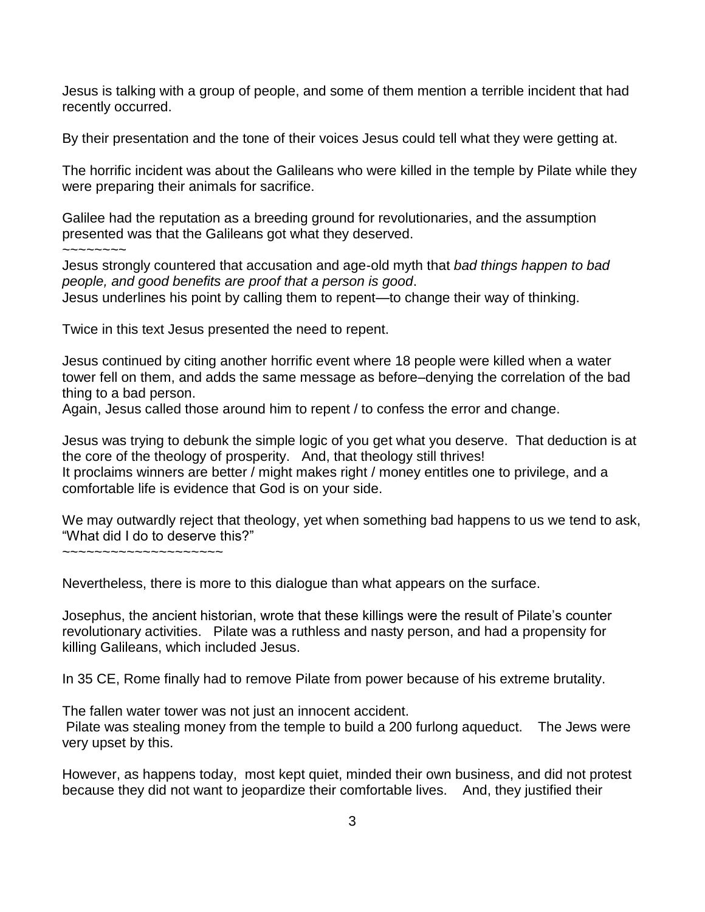Jesus is talking with a group of people, and some of them mention a terrible incident that had recently occurred.

By their presentation and the tone of their voices Jesus could tell what they were getting at.

The horrific incident was about the Galileans who were killed in the temple by Pilate while they were preparing their animals for sacrifice.

Galilee had the reputation as a breeding ground for revolutionaries, and the assumption presented was that the Galileans got what they deserved.

 $\sim$ ~~~~~~

Jesus strongly countered that accusation and age-old myth that *bad things happen to bad people, and good benefits are proof that a person is good*. Jesus underlines his point by calling them to repent—to change their way of thinking.

Twice in this text Jesus presented the need to repent.

Jesus continued by citing another horrific event where 18 people were killed when a water tower fell on them, and adds the same message as before–denying the correlation of the bad thing to a bad person.

Again, Jesus called those around him to repent / to confess the error and change.

Jesus was trying to debunk the simple logic of you get what you deserve. That deduction is at the core of the theology of prosperity. And, that theology still thrives! It proclaims winners are better / might makes right / money entitles one to privilege, and a comfortable life is evidence that God is on your side.

We may outwardly reject that theology, yet when something bad happens to us we tend to ask, "What did I do to deserve this?"

~~~~~~~~~~~~~~~~~~~~

Nevertheless, there is more to this dialogue than what appears on the surface.

Josephus, the ancient historian, wrote that these killings were the result of Pilate's counter revolutionary activities. Pilate was a ruthless and nasty person, and had a propensity for killing Galileans, which included Jesus.

In 35 CE, Rome finally had to remove Pilate from power because of his extreme brutality.

The fallen water tower was not just an innocent accident.

Pilate was stealing money from the temple to build a 200 furlong aqueduct. The Jews were very upset by this.

However, as happens today, most kept quiet, minded their own business, and did not protest because they did not want to jeopardize their comfortable lives. And, they justified their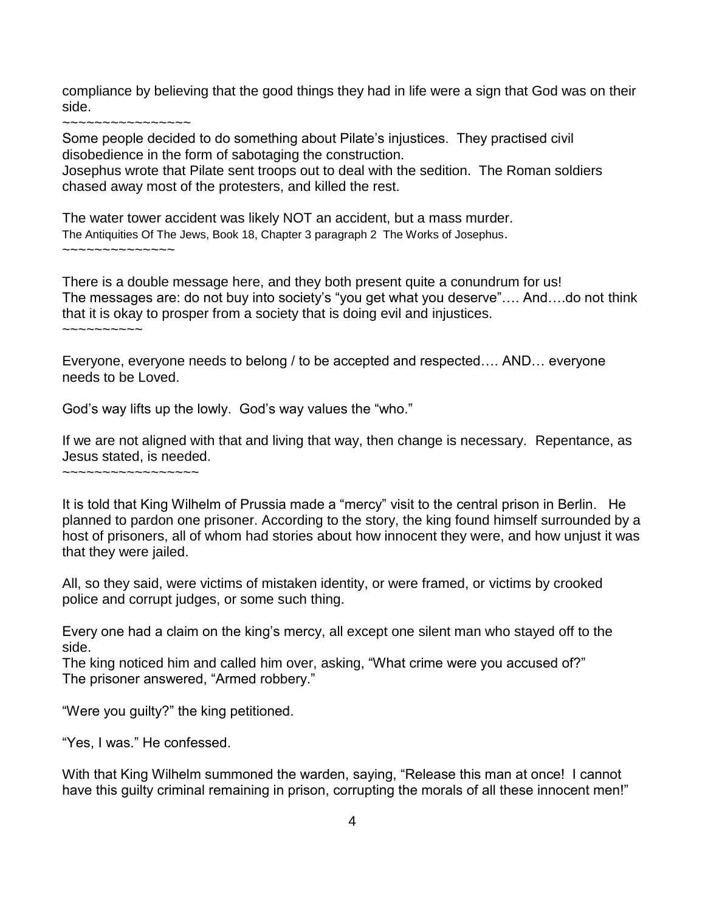compliance by believing that the good things they had in life were a sign that God was on their side.

~~~~~~~~~~~~~~~~

Some people decided to do something about Pilate's injustices. They practised civil disobedience in the form of sabotaging the construction.

Josephus wrote that Pilate sent troops out to deal with the sedition. The Roman soldiers chased away most of the protesters, and killed the rest.

The water tower accident was likely NOT an accident, but a mass murder. The Antiquities Of The Jews, Book 18, Chapter 3 paragraph 2 The Works of Josephus. ~~~~~~~~~~~~~~

There is a double message here, and they both present quite a conundrum for us! The messages are: do not buy into society's "you get what you deserve"…. And….do not think that it is okay to prosper from a society that is doing evil and injustices.

~~~~~~~~~~

Everyone, everyone needs to belong / to be accepted and respected…. AND… everyone needs to be Loved.

God's way lifts up the lowly. God's way values the "who."

If we are not aligned with that and living that way, then change is necessary. Repentance, as Jesus stated, is needed.

~~~~~~~~~~~~~~~~~

It is told that King Wilhelm of Prussia made a "mercy" visit to the central prison in Berlin. He planned to pardon one prisoner. According to the story, the king found himself surrounded by a host of prisoners, all of whom had stories about how innocent they were, and how unjust it was that they were jailed.

All, so they said, were victims of mistaken identity, or were framed, or victims by crooked police and corrupt judges, or some such thing.

Every one had a claim on the king's mercy, all except one silent man who stayed off to the side.

The king noticed him and called him over, asking, "What crime were you accused of?" The prisoner answered, "Armed robbery."

"Were you guilty?" the king petitioned.

"Yes, I was." He confessed.

With that King Wilhelm summoned the warden, saying, "Release this man at once! I cannot have this guilty criminal remaining in prison, corrupting the morals of all these innocent men!"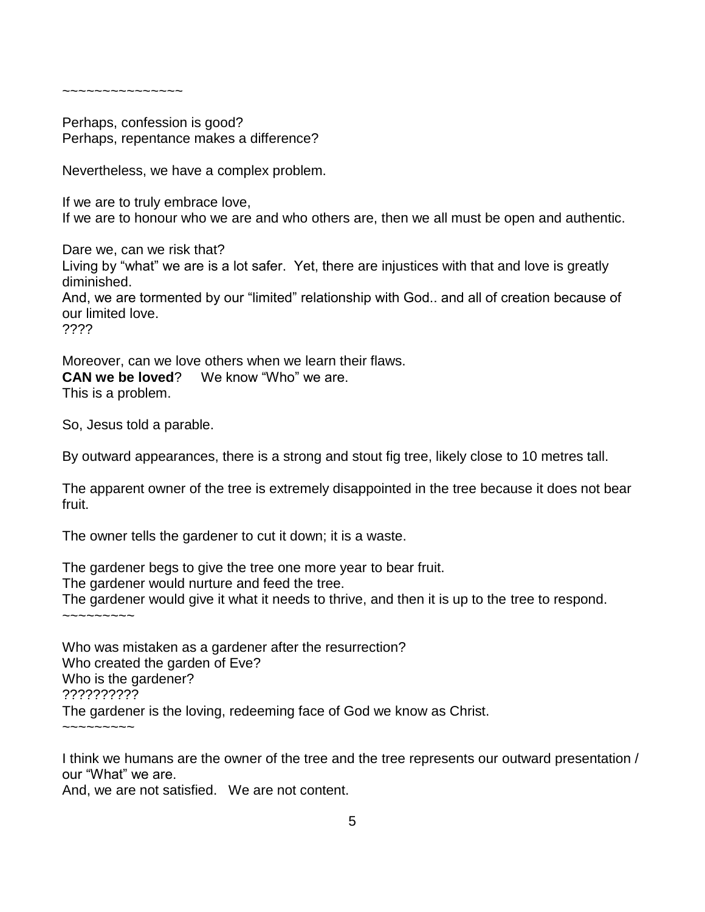~~~~~~~~~~~~~~~

Perhaps, confession is good? Perhaps, repentance makes a difference?

Nevertheless, we have a complex problem.

If we are to truly embrace love, If we are to honour who we are and who others are, then we all must be open and authentic.

Dare we, can we risk that? Living by "what" we are is a lot safer. Yet, there are injustices with that and love is greatly diminished. And, we are tormented by our "limited" relationship with God.. and all of creation because of our limited love. ????

Moreover, can we love others when we learn their flaws. **CAN we be loved**? We know "Who" we are. This is a problem.

So, Jesus told a parable.

By outward appearances, there is a strong and stout fig tree, likely close to 10 metres tall.

The apparent owner of the tree is extremely disappointed in the tree because it does not bear fruit.

The owner tells the gardener to cut it down; it is a waste.

The gardener begs to give the tree one more year to bear fruit. The gardener would nurture and feed the tree. The gardener would give it what it needs to thrive, and then it is up to the tree to respond.  $\sim$  $\sim$  $\sim$  $\sim$  $\sim$  $\sim$  $\sim$ 

Who was mistaken as a gardener after the resurrection? Who created the garden of Eve? Who is the gardener? ?????????? The gardener is the loving, redeeming face of God we know as Christ.  $\sim$ ~~~~~~~

I think we humans are the owner of the tree and the tree represents our outward presentation / our "What" we are.

And, we are not satisfied. We are not content.